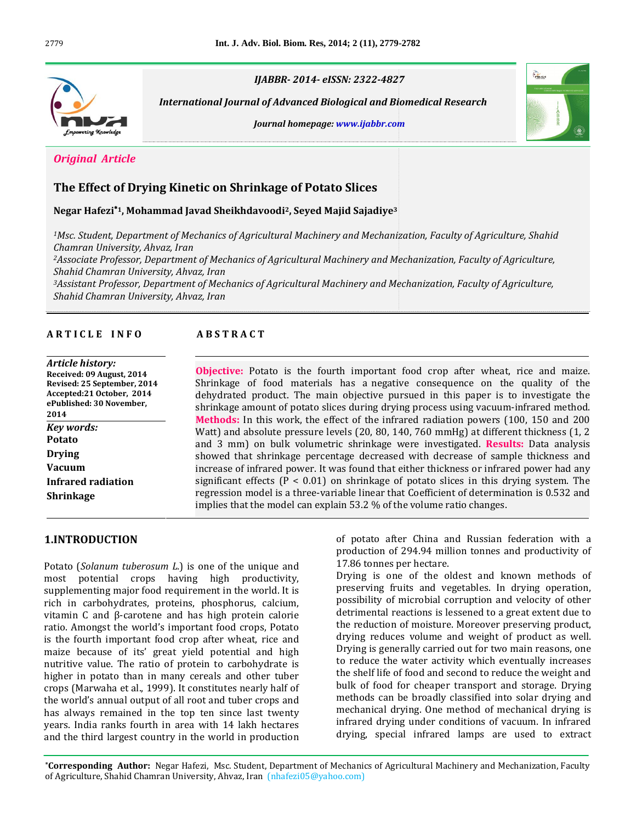

 *Journal of Advanced Biological and Biomedical Research homepage: www.ijabbr.com*



## **Effect of Drying Kinetic on Shrinkage of Potato Slices Hafezi<sup>1</sup>, Mohammad Javad Sheikhdavoodi2, Seyed Majid Sajadiye<sup>3</sup>**

*International*

*1Msc.Chamran University, Ahvaz, Iran* y<br>1934 - Negar Hafezi\*1, Mohammad Javad Sheikhdavoodi<sup>2</sup>, Seyed Majid Sajadiye<sup>3</sup><br>1Msc. Student, Department of Mechanics of Agricultural Machinery and Mechanization, Faculty of Agriculture, Shahid<br>2 - Chamran University, A *Chamran University, Ahvaz, Iran Chamran University, Ahvaz, Iran* 

 *Professor, Department of Mechanics of Agricultural Machinery and Mechanization, Faculty of Agriculture, ShahidChamran University, Ahvaz, Iran*

**A <sup>R</sup> <sup>T</sup> <sup>I</sup> <sup>C</sup> <sup>L</sup> <sup>E</sup> <sup>I</sup> <sup>N</sup> <sup>F</sup> <sup>O</sup> <sup>A</sup> <sup>B</sup> <sup>S</sup> <sup>T</sup> <sup>R</sup> <sup>A</sup> <sup>C</sup> <sup>T</sup>**

# *Article history:*

### **ABSTRACT**

dehydrated

| Article history:            |
|-----------------------------|
| Received: 09 August, 2014   |
| Revised: 25 September, 2014 |
| Accepted:21 October, 2014   |
| ePublished: 30 November,    |
| 2014                        |
| Key words:                  |
| Potato                      |
| Drving                      |
| Vacuum                      |
| Infrared radiation          |
| <b>Shrinkage</b>            |

regression model is a three-variable linear that Coefficient of determination is 0.532 and implies that the model can explain 53.2  $%$  of the volume ratio changes.  $53.2%$  of the volume ratio changes.<br>potato after China and Russian federation with a  $\frac{1}{2}$ ABSTRACT<br>-<br>Obiective: Potato is the fourth important food crop after wheat, rice and maize. Potato is the fourth important food crop after wheat, rice and maize.<br>
of food materials has a negative consequence on the quality of the Potato is the fourth important food crop after wheat, rice and maize.<br>If food materials has a negative consequence on the quality of the<br>product. The main objective pursued in this paper is to investigate the **Objective Objective:** Potato is the fourth important food crop after wheat, rice and maize. Shrinkage of food materials has a negative consequence on the quality of the dehydrated product. The main objective pursued in this paper i of food materials has a negative consequence on the quality of the<br>d product. The main objective pursued in this paper is to investigate the<br>amount of potato slices during drying process using vacuum-infrared method.<br>In th dehydrated product. The main objective pursued in this paper is to investigate the rated product. The main objective pursued in this paper is to investigate the<br>age amount of potato slices during drying process using vacuum-infrared method.<br>**ds:** In this work, the effect of the infrared radiation powers shrinkage amount of potato slices during drying process using vacuum-infrared method.<br>**Methods:** In this work, the effect of the infrared radiation powers (100, 150 and 200<br>Watt) and absolute pressure levels (20, 80, 140, **Methods:** In this work, the effect of the infrared radiation powers (100, 150 and 200) **S:** In this work, the effect of the infrared radiation powers (100, 150 and 200 d absolute pressure levels (20, 80, 140, 760 mmHg) at different thickness (1, 2 km) on bulk volumetric shrinkage were investigated. **Results:** Watt) ar d absolute pressure levels (20, 80, 140, 760 mmHg) at different thickness (1, 2 m) on bulk volumetric shrinkage were investigated. **Results:** Data analysis that shrinkage percentage decreased with decrease of sample thickn and 3 mm) on bulk volumetric shrinkage were investigated. Results: Data analysis ) on bulk volumetric shrinkage were investigated. **Results:** Data analysis at shrinkage percentage decreased with decrease of sample thickness and infrared power. It was found that either thickness or infrared power had a showed that shrinkage percentage decreased with decrease of sample thickness and<br>increase of infrared power. It was found that either thickness or infrared power had any<br>significant effects (P < 0.01) on shrinkage of potat increase of infrared power. It was found that either thickness or infrared power had any significant effects ( $P < 0.01$ ) on shrinkage of potato slices in this drying system. The

### 1. INTRODUCTION

years. India ranks fourth in area with 14 lakh hectares and the third largest country in the world in production (*Solanum tuberosum L.*) is one of the unique and **1.INTRODUCTION**<br>Potato (*Solanum tuberosum L.*) is one of the unique and<br>most potential crops having high productivity. m *tuberosum L*.) is one of the unique and<br>al crops having high productivity,<br>major food requirement in the world. It is Potato (*Solanum tuberosum L*.) is one of the unique and<br>most potential crops having high productivity,<br>supplementing major food requirement in the world. It is<br>rich in carbohydrates, proteins, phosphorus, calcium. ootential crops having high productivity,<br>enting major food requirement in the world. It is<br>carbohydrates, proteins, phosphorus, calcium,<br>C and ß-carotene and has high protein calorie suppl External per interpretent in the world. It is<br>in carbohydrates, proteins, phosphorus, calcium,  $\frac{1}{2}$ <br>in C and  $\beta$ -carotene and has high protein calorie ri the fourth important food crops, calcium,<br>amin C and β-carotene and has high protein calorie disc. Amongst the world's important food crops, Potato the fourth important food crop after wheat, rice and vitamin  $C$  and  $\beta$ -carotene and has high protein calorie  $\alpha$  C and β-carotene and has high protein calorie<br>mongst the world's important food crops, Potato<br>ourth important food crop after wheat, rice and<br>because of its' great vield potential and high ratio. An ongst the world's important food crops, Potato<br>rth important food crop after wheat, rice and<br>cause of its' great yield potential and high<br>value. The ratio of protein to carbohydrate is is the fourth important food crop after wheat, rice and ourth important food crop after wheat, rice and<br>because of its' great yield potential and high<br>re value. The ratio of protein to carbohydrate is<br>in potato than in many cereals and other tuber maize because of its' great yield potential and high<br>nutritive value. The ratio of protein to carbohydrate is<br>higher in potato than in many cereals and other tuber<br>crops (Marwaha et al., 1999). It constitutes nearly half o nutritive value. The ratio of protein to carbohydrate is<br>higher in potato than in many cereals and other tuber<br>crops (Marwaha et al., 1999). It constitutes nearly half of<br>the world's annual output of all root and tuber cro higher in potato than in many cereals and other tuber er in potato than in many cereals and other tuber<br>s (Marwaha et al., 1999). It constitutes nearly half of<br>world's annual output of all root and tuber crops and<br>always remained in the top ten since last twenty crops (Marwaha et al., 1999). It constitutes nearly half of Marwaha et al., 1999). It constitutes nearly half of<br>rld's annual output of all root and tuber crops and<br>ways remained in the top ten since last twenty<br>India ranks fourth in area with 14 lakh hectares the world's annual output of all root and tuber crops and<br>has always remained in the top ten since last twenty<br>years. India ranks fourth in area with 14 lakh hectares<br>and the third largest country in the world in productio

of 294.94 million tonnes and productivity of of potato after China and<br>production of 294.94 millior<br>17.86 tonnes per hectare. is after China and Russian federation with a<br>ion of 294.94 million tonnes and productivity of<br>nnes per hectare.<br>is one of the oldest and known methods of production of 294.94 million tonnes and productivity of 17.86 tonnes per hectare.<br>Drying is one of the oldest and known methods of preserving fruits and vegetables. In drying operation.

es per hectare.<br>
one of the oldest and known methods of<br>
fruits and vegetables. In drying operation,<br>
of microbial corruption and velocity of other Drying is one of the oldest and known methods of ne of the oldest and known methods of<br>fruits and vegetables. In drying operation,<br>f microbial corruption and velocity of other<br>reactions is lessened to a great extent due to pre preserving fruits and vegetables. In drying operation,<br>possibility of microbial corruption and velocity of other<br>detrimental reactions is lessened to a great extent due to<br>the reduction of moisture. Moreover preserving pro possibility of microbial corruption and velocity of other<br>detrimental reactions is lessened to a great extent due to<br>the reduction of moisture. Moreover preserving product,<br>drying reduces volume and weight of product as we detrimental reactions is lessened to a great extent due to the reduction of moisture. Moreover preserving product, reduction of moisture. Moreover preserving product,<br>ving reduces volume and weight of product as well.<br>ying is generally carried out for two main reasons, one<br>reduce the water activity which eventually increases drying reduces volume and weight of product as well. ing reduces volume and weight of product as well.<br>ing is generally carried out for two main reasons, one<br>educe the water activity which eventually increases<br>shelf life of food and second to reduce the weight and Drying is generally carried out for two main reasons, one<br>to reduce the water activity which eventually increases<br>the shelf life of food and second to reduce the weight and<br>bulk of food for cheaper transport and storage. D to reduce the water activity which eventually increases the water activity which eventually increases<br>ife of food and second to reduce the weight and<br>pood for cheaper transport and storage. Drying<br>can be broadly classified into solar drying and the shelf life of food and second to reduce the weight and of food and second to reduce the weight and<br>defore cheaper transport and storage. Drying<br>in be broadly classified into solar drying and<br>drying. One method of mechanical drying is bulk of ood for cheaper transport and storage. Drying<br>can be broadly classified into solar drying and<br>cal drying. One method of mechanical drying is<br>drying under conditions of vacuum. In infrared methods can be broadly classified into solar drying and<br>mechanical drying. One method of mechanical drying is<br>infrared drying under conditions of vacuum. In infrared<br>drying, special infrared lamps are used to extract

**Author:** Negar Hafezi, Msc. Student, Department of Mechanics of Agricultural Machinery and Mechanization, Faculty **Corresponding Author:** Negar Hafezi, Msc. Student, Department of Mechanics of Agricultural Machinery and M a the timula rangest country in the world in production<br> **Expressional Agriculture**, Shahid Chamran University, Ahvaz, Iran (nhafezi05@yahoo.com)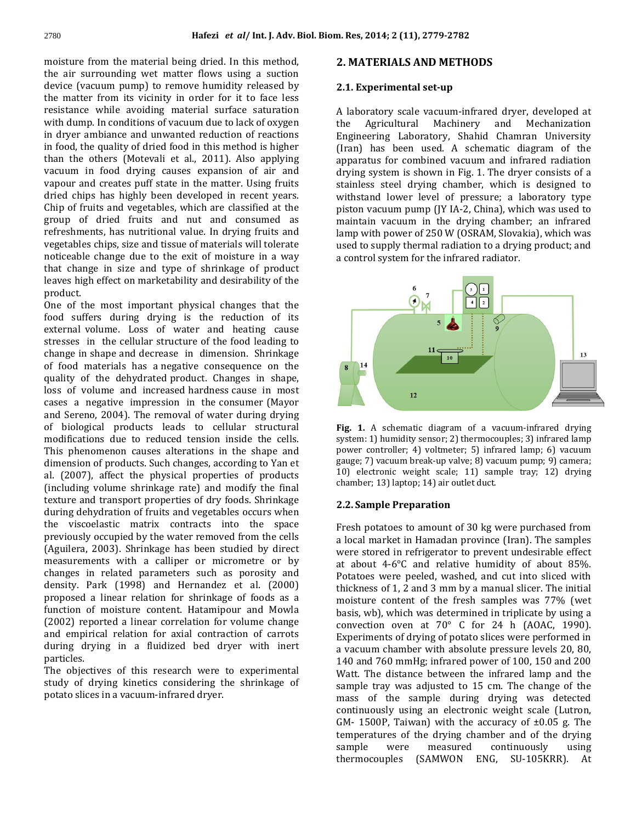<sup>2780</sup><br>Hafezi *et al/* Int. J. Adv. Biol<br>moisture from the material being dried. In this method. **Hafezi** *et al/* Int. J. Adv. Biol. Biom<br>sture from the material being dried. In this method,<br>air surrounding wet matter flows using a suction (vacuum pump) re from the material being dried. In this method,<br>surrounding wet matter flows using a suction<br>(vacuum pump) to remove humidity released by mo sture from the material being dried. In this method,<br>air surrounding wet matter flows using a suction<br>ce (vacuum pump) to remove humidity released by<br>matter from its vicinity in order for it to face less the air surrounding wet matter flows using a suction rounding wet matter flows using a suction<br>
uum pump) to remove humidity released by<br>
from its vicinity in order for it to face less<br>
while avoiding material surface saturation device (vacuum pump) to remove humidity released by<br>the matter from its vicinity in order for it to face less<br>resistance while avoiding material surface saturation A<br>with dump. In conditions of vacuum due to lack of oxygen the matter from its vicinity in order for it to face less<br>resistance while avoiding material surface saturation<br>with dump. In conditions of vacuum due to lack of oxygen<br>in drver ambiance and unwanted reduction of reactions resistance while avoiding material surface saturation<br>with dump. In conditions of vacuum due to lack of oxygen<br>in dryer ambiance and unwanted reduction of reactions<br>in food, the quality of dried food in this method is high with dump. In conditions of vacuum due to lack of oxygen the dump. In conditions of vacuum due to lack of oxygen<br>ver ambiance and unwanted reduction of reactions<br>d, the quality of dried food in this method is higher<br>the others (Motevali et al., 2011). Also applying in dryer ambiance and unwanted reduction of reactions ambiance and unwanted reduction of reactions<br>he quality of dried food in this method is higher (<br>others (Motevali et al., 2011). Also applying<br>in food drying causes expansion of air and in food the quality of dried food in this method is higher<br>e others (Motevali et al., 2011). Also applying<br>in food drying causes expansion of air and<br>and creates puff state in the matter. Using fruits than the others (Motevali et al., 2011). Also applying than the others (Motevali et al., 2011). Also applying<br>vacuum in food drying causes expansion of air and<br>vapour and creates puff state in the matter. Using fruits<br>dried chips has highly been developed in recent vears. im in food drying causes expansion of air and<br>ar and creates puff state in the matter. Using fruits<br>chips has highly been developed in recent years.<br>of fruits and vegetables, which are classified at the vapour and creates puff state in the matter. Using fruits<br>dried chips has highly been developed in recent years.<br>Chip of fruits and vegetables, which are classified at the<br>group of dried fruits and nut and consumed as dried chips has highly been developed in recent years. is highly been developed in recent years.<br>
and vegetables, which are classified at the<br>
ed fruits and nut and consumed as<br>
has nutritional value. In drying fruits and Chip of fruits and vegetables, which are classified at the its and vegetables, which are classified at the<br>dried fruits and nut and consumed as<br>tts, has nutritional value. In drying fruits and<br>chips, size and tissue of materials will tolerate group of dried fruits and nut and consumed as<br>refreshments, has nutritional value. In drying fruits and<br>vegetables chips, size and tissue of materials will tolerate<br>noticeable change due to the exit of moisture in a way refreshments, has nutritional value. In drying fruits and shments, has nutritional value. In drying fruits and<br>cables chips, size and tissue of materials will tolerate<br>eable change due to the exit of moisture in a way<br>change in size and type of shrinkage of product vegetables chips, size and tissue of materials will tolerate bles chips, size and tissue of materials will tolerate<br>hble change due to the exit of moisture in a way<br>nange in size and type of shrinkage of product<br>high effect on marketability and desirability of the noticeab that change in size and type of shrinkage of product<br>leaves high effect on marketability and desirability of the<br>product.<br>One of the most important physical changes that the For the product.<br>For the product on marketability and desirability of the product.<br>The of the most important physical changes that the<br>food suffers during drying is the reduction of its product.

he most important physical changes that the<br>fers during drying is the reduction of its<br>volume. Loss of water and heating cause One of the most important physical changes that the in the most important physical changes that the<br>fers during drying is the reduction of its<br>volume. Loss of water and heating cause<br>in the cellular structure of the food leading to food suffers during drying is the reduction of its<br>external volume. Loss of water and heating cause<br>stresses in the cellular structure of the food leading to<br>change in shape and decrease in dimension. Shrinkage external volume. Loss of water and heating cause<br>stresses in the cellular structure of the food leading to<br>change in shape and decrease in dimension. Shrinkage<br>of food materials has a negative consequence on the stresses in the cellular structure of the food leading to stresses in the cellular structure of the food leading to<br>change in shape and decrease in dimension. Shrinkage<br>of food materials has a negative consequence on the<br>quality of the dehydrated product. Changes in shape. ge in shape and decrease in dimension. Shrinkage<br>od materials has a negative consequence on the<br>ty of the dehydrated product. Changes in shape,<br>of volume and increased hardness cause in most of food materials has a negative consequence on the<br>quality of the dehydrated product. Changes in shape,<br>loss of volume and increased hardness cause in most<br>cases a negative impression in the consumer (Mayor quality of the dehydrated product. Changes in shape,<br>loss of volume and increased hardness cause in most<br>cases a negative impression in the consumer (Mayor<br>and Sereno, 2004). The removal of water during drying loss of volume and increased hardness cause in most<br>cases a negative impression in the consumer (Mayor<br>and Sereno, 2004). The removal of water during drying<br>of biological products leads to cellular structural cases a negative impression in the consumer (Mayor cases a negative impression in the consumer (Mayor<br>and Sereno, 2004). The removal of water during drying<br>of biological products leads to cellular structural<br>modifications due to reduced tension inside the cells. Freeno, 2004). The removal of water during drying<br>iological products leads to cellular structural Free Free Free and the shape and proportion causes alterations in the shape and proportional proportional proportional propo of biologi cal products leads to cellular structural<br>nns due to reduced tension inside the cells.<br>omenon causes alterations in the shape and<br>of products. Such changes, according to Yan et modifications due to reduced tension inside the cells. difications due to reduced tension inside the cells.<br>s phenomenon causes alterations in the shape and<br>eension of products. Such changes, according to Yan et<br>(2007), affect the physical properties of products This phenomenon causes alterations in the shape and<br>dimension of products. Such changes, according to Yan et<br>al. (2007), affect the physical properties of products<br>(including volume shrinkage rate) and modify the final dimension of products. Such changes, according to Yan et on of products. Such changes, according to Yan et<br>17), affect the physical properties of products<br>ng volume shrinkage rate) and modify the final<br>and transport properties of dry foods. Shrinkage al. (2007), affect the physical properties of products<br>(including volume shrinkage rate) and modify the final<br>texture and transport properties of dry foods. Shrinkage<br>during dehydration of fruits and vegetables occurs whe (including volume shrinkage rate) and modify the final<br>texture and transport properties of dry foods. Shrinkage<br>during dehydration of fruits and vegetables occurs when<br>the viscoelastic matrix contracts into the space texture and transport properties of dry foods. Shrinkage<br>during dehydration of fruits and vegetables occurs when<br>the viscoelastic matrix contracts into the space<br>previously occupied by the water removed from the cells during dehydration of fruits and vegetables occurs when<br>the viscoelastic matrix contracts into the space<br>previously occupied by the water removed from the cells<br>(Aguilera, 2003). Shrinkage has been studied by direct the viscoelastic matrix contracts into the space c matrix contracts into the space<br>pied by the water removed from the cells<br>). Shrinkage has been studied by direct<br>with a calliper or micrometre or by previous y occupied by the water removed from the cells<br>
a call a calliper of studied by direct<br>
in related parameters such as porosity and (Aguilera, 2003). Shrinkage has been studied by direct Park (2003). Shrinkage has been studied by direct<br>nents with a calliper or micrometre or by<br>in related parameters such as porosity and<br>Park (1998) and Hernandez et al. (2000) measurements with a calliper or micrometre or by<br>changes in related parameters such as porosity and<br>density. Park (1998) and Hernandez et al. (2000)<br>proposed a linear relation for shrinkage of foods as a changes in related parameters such as porosity and in related parameters such as porosity and<br>Park (1998) and Hernandez et al. (2000)<br>a linear relation for shrinkage of foods as a<br>of moisture content. Hatamipour and Mowla density. Park (1998) and Hernandez et al. (2000)<br>proposed a linear relation for shrinkage of foods as a<br>function of moisture content. Hatamipour and Mowla<br>(2002) reported a linear correlation for volume change proposed a linear relation for shrinkage of foods as a osed a linear relation for shrinkage of foods as a<br>ion of moisture content. Hatamipour and Mowla<br>2) reported a linear correlation for volume change<br>empirical relation for axial contraction of carrots function of moisture content. Hatamipour and Mowla<br>(2002) reported a linear correlation for volume change<br>and empirical relation for axial contraction of carrots<br>during drying in a fluidized bed dryer with inert (2002) reported a linear correlation for volume change and empirical relation for axial contraction of carrots<br>during drying in a fluidized bed dryer with inert<br>particles.<br>The objectives of this research were to experimental during drying in a fluidized bed dryer with inert<br>particles.<br>The objectives of this research were to experimental<br>study of drying kinetics considering the shrinkage of particles.

The objectives of this research were to experimental study of drying kinetics considering the shrinkage of potato slices in a vacuum-infrared dryer.

## **MATERIALS AND METHODS Experimental set-up**

#### 2.1. Experimental set-up

**1. Experimental set-up<br>laboratory scale vacuum-infrared drver, developed at**  Agricultural Machinery and Mechanization scale vacuum-infrared dryer, developed at<br>tural Machinery and Mechanization<br>Laboratory. Shahid Chamran University A labo atory scale vacuum-infrared dryer, developed at<br>gricultural Machinery and Mechanization<br>pring Laboratory, Shahid Chamran University<br>has been used. A schematic diagram of the the Agricultural Machinery and Mechanization cultural Machinery and Mechanization<br>g Laboratory, Shahid Chamran University<br>been used. A schematic diagram of the<br>for\_combined\_vacuum\_and\_infrared\_radiation Engineering Laboratory, Shahid Chamran University<br>(Iran) has been used. A schematic diagram of the<br>apparatus for combined vacuum and infrared radiation<br>drying system is shown in Fig. 1. The dryer consists of a (Iran) has been used. A schematic diagram of the s been used. A schematic diagram of the<br>for combined vacuum and infrared radiation<br>stem is shown in Fig. 1. The dryer consists of a<br>steel drying chamber, which is designed to apparatus for combined vacuum and infrared radiation<br>drying system is shown in Fig. 1. The dryer consists of a<br>stainless steel drying chamber, which is designed to<br>withstand lower level of pressure: a laboratory type drying system is shown in Fig. 1. The dryer consists of a system is shown in Fig. 1. The dryer consists of a<br>ss steel drying chamber, which is designed to<br>and lower level of pressure; a laboratory type<br>vacuum pump (IY IA-2, China), which was used to stainless steel drying chamber, which is designed to<br>withstand lower level of pressure; a laboratory type<br>piston vacuum pump (JY IA-2, China), which was used to<br>maintain vacuum in the drying chamber: an infrared withstand lower level of pressure; a laboratory type tand lower level of pressure; a laboratory type<br>in vacuum pump (JY IA-2, China), which was used to<br>cain vacuum in the drying chamber; an infrared<br>with power of 250 W (OSRAM, Slovakia), which was piston vacuum pump (JY IA-2, China), which was used to<br>maintain vacuum in the drying chamber; an infrared<br>lamp with power of 250 W (OSRAM, Slovakia), which was<br>used to supply thermal radiation to a drying product: and maintain vacuum in the drying chamber;<br>lamp with power of 250 W (OSRAM, Slovakia<br>used to supply thermal radiation to a drying p<br>a control system for the infrared radiator.



1) A schematic diagram of a vacuum-infrared drying<br>1) humidity sensor: 2) thermocouples: 3) infrared lamp A schematic diagram of a vacuum-infrared drying<br>(1) humidity sensor; 2) thermocouples; 3) infrared lamp<br>controller: 4) voltmeter: 5) infrared lamp: 6) vacuum **Fig. 1.** A schematic diagram of a vacuum-infrared drying system: 1) humidity sensor; 2) thermocouples; 3) infrared lamp power controller; 4) voltmeter; 5) infrared lamp; 6) vacuum gauge: 7) vacuum break-up valve: 8) vacuu system: 1) humidity sensor; 2) thermocouples; 3) infrared lamp<br>power controller; 4) voltmeter; 5) infrared lamp; 6) vacuum<br>gauge; 7) vacuum break-up valve; 8) vacuum pump; 9) camera;<br>10) electronic weight scale: 11) sample power controller; 4) voltmeter; 5) infrared lamp; 6) vacuum gauge; 7) vacuum break-up valve; 8) vacuum pump; 9) camera;<br>10) electronic weight scale; 11) sample trav; 12) drying **Sample Preparation**<br>**Sample Preparation**<br>**Sample Preparation** ename

#### 2.2. Sample Preparation

potatoes to amount of 30 kg were purchased from<br>notatoes to amount of 30 kg were purchased from **2. Sample Preparation<br>resh potatoes to amount of 30 kg were purchased from<br>local market in Hamadan province (Iran). The samples** potatoes to amount of 30 kg were purchased from<br>I market in Hamadan province (Iran). The samples<br>stored in refrigerator to prevent undesirable effect Fr Fresh potatoes to amount of 30 kg were purchased from<br>a local market in Hamadan province (Iran). The samples<br>were stored in refrigerator to prevent undesirable effect<br>at about 4-6°C and relative humidity of about 85%. arket in Hamadan province (Iran). The samples<br>red in refrigerator to prevent undesirable effect<br>4-6°C and relative humidity of about 85%.<br>were peeled, washed, and cut into sliced with ed in refrigerator to prevent undesirable effect<br>4-6°C and relative humidity of about 85%.<br>were peeled, washed, and cut into sliced with<br>of 1, 2 and 3 mm by a manual slicer. The initial were stored in refrigerator to prevent undesirable effect 4-6°C and relative humidity of about 85%.<br>were peeled, washed, and cut into sliced with<br>of 1, 2 and 3 mm by a manual slicer. The initial<br>content of the fresh samples was 77% (wet at about  $4-6^{\circ}$ C and relative humidity of about 85%. Potate bes were peeled, washed, and cut into sliced with<br>ess of 1, 2 and 3 mm by a manual slicer. The initial<br>ure content of the fresh samples was 77% (wet<br>wb), which was determined in triplicate by using a thickness of 1, 2 and 3 mm by a manual slicer. The initial moisture content of the fresh samples was 77% (wet basis, wb), which was determined in triplicate by using a convection oven at  $70^{\circ}$  C for 24 h (AOAC, 1990). moisture content of the fresh samples was 77% (wet basis, wb), which was determined in triplicate by using a convection oven at 70° C for 24 h (AOAC, 1990).<br>Experiments of drying of potato slices were performed in a vacuum chamber with absolute pressure levels 20, 80. convection oven at 70 $\degree$  C for 24 h (AOAC, 1990). ments of drying of potato slices were performed in<br>um chamber with absolute pressure levels 20, 80,<br>nd 760 mmHg; infrared power of 100, 150 and 200<br>The distance between the infrared lamp and the Experiments of drying of potato slices were performed in a vacuum chamber with absolute pressure levels 20, 80,<br>140 and 760 mmHg; infrared power of 100, 150 and 200<br>Watt. The distance between the infrared lamp and the<br>sample tray was adjusted to 15 cm. The change of the 140 and 760 mmHg; infrared power of 100, 150 and 200<br>Watt. The distance between the infrared lamp and the<br>sample tray was adjusted to 15 cm. The change of the<br>mass of the sample during drying was detected Watt. The distance between the infrared lamp and the Watt. The distance between the infrared lamp and the sample tray was adjusted to 15 cm. The change of the mass of the sample during drying was detected continuously using an electronic weight scale (Lutron, 1600 le tray was adjusted to 15 cm. The change of the<br>of the sample during drying was detected<br>nuously using an electronic weight scale (Lutron,<br>1500P. Taiwan) with the accuracy of  $\pm 0.05$  g. The mass of the sample during drying was detected<br>continuously using an electronic weight scale (Lutron,<br>GM- 1500P, Taiwan) with the accuracy of  $\pm 0.05$  g. The<br>temperatures of the drying chamber and of the drying continuously using an electronic weight scale (Lutron, ly using an electronic weight scale (Lutron,<br>  $\gamma$ , Taiwan) with the accuracy of  $\pm 0.05$  g. The<br>
res of the drying chamber and of the drying<br>
were measured continuously using GM- 1500P, Taiwan) with the accuracy of  $\pm 0.05$  g. The<br>temperatures of the drying chamber and of the drying<br>sample were measured continuously using<br>thermocouples (SAMWON ENG, SU-105KRR). At sample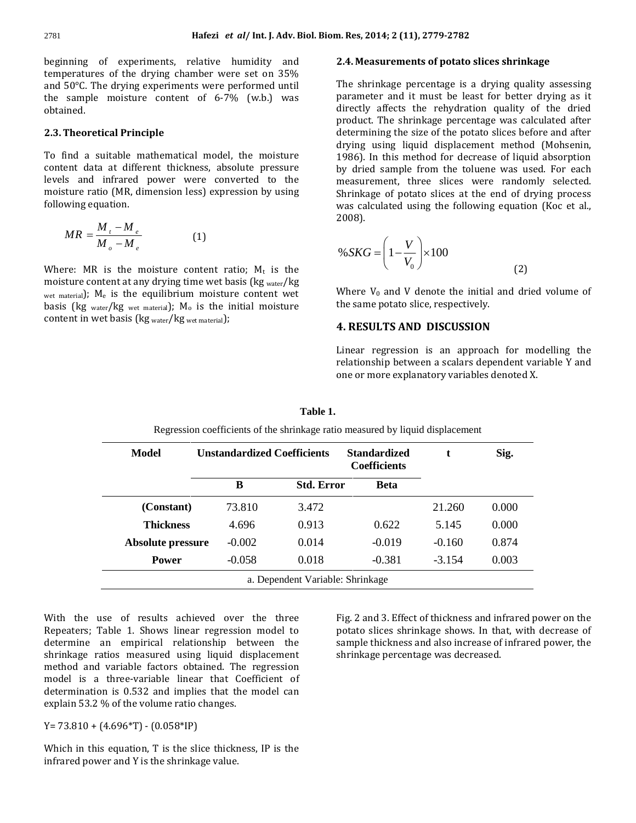**Hafezi** *et al/* Int. J. Adv. Biol. Biom<br>of experiments. relative humidity and 2 **Hafezi** *et al/* Int. J. Adv. Biol. Biom. Res, <br>experiments, relative humidity and **2.4. Me**<br>of the drving chamber were set on 35% nning of experiments, relative humidity and<br>beratures of the drying chamber were set on 35%<br>50°C. The drying experiments were performed until beginning of experiments, relative humidity and<br>temperatures of the drying chamber were set on 35%<br>and 50°C. The drying experiments were performed until<br>the sample moisture content of 6-7% (w.b.) was temperatures of the drying chamber were set on 35% **2.3.** Theoretical Principle<br>**2.3.** Theoretical Principle obtained.

#### 2.3. Theoretical Principle

mea.<br>**Theoretical Principle**<br>find a suitable mathematical model, the moisture or**etical Principle**<br>a suitable mathematical model, the moisture<br>data at different thickness, absolute pressure and infrared power were converted to the data at different thickness, absolute pressure<br>and infrared power were converted to the To find a suitable mathematical model, the moisture<br>content data at different thickness, absolute pressure<br>levels and infrared power were converted to the<br>moisture ratio (MR, dimension less) expression by using content data at different thickness, absolute pressure levels and infrared power were converted to the ratio (in moisture ratio (MR, dimension less) expression by using

$$
MR = \frac{M_t - M_e}{M_o - M_e}
$$
 (1)  
Here: MR is the moisture content ratio; M<sub>t</sub> is the

 $M_{\rho} - M_{\rho}$  (1)<br>Where: MR is the moisture content ratio; M<sub>t</sub> is the<br>moisture content at any drying time wet basis (kg <sub>water</sub>/kg ere: MR is the moisture content ratio; M<sub>t</sub> is the isture content at any drying time wet basis (kg <sub>water</sub>/kg <sub>materia</sub>); M<sub>e</sub> is the equilibrium moisture content wet Where: MR is the moisture content ratio; M<sub>t</sub> is the moisture content at any drying time wet basis (kg <sub>water</sub>/kg wet material); M<sub>e</sub> is the equilibrium moisture content wet basis (kg <sub>water</sub>/kg <sub>wet material</sub>); M<sub>0</sub> is t moisture content at any drying time wet basis (kg water/kg) e content at any drying time wet basis<br>i);  $M_e$  is the equilibrium moisture contains the equilibrium moisture contains (kg wet material);  $M_o$  is the initial in wet basis (kg water/kg wet material);

### m. Res, 2014; 2 (11), 2779-2782<br>2.4. Measurements of potato slices shrinkage Measurements of potato slices shrinkage<br>shrinkage percentage is a drving quality assessing

rements of potato slices shrinkage<br>age percentage is a drying quality assessing<br>and it must be least for better drying as it hage percentage is a drying quality assessing<br>in and it must be least for better drying as it<br>affects the rehydration quality of the dried The shri nkage percentage is a drying quality assessing<br>er and it must be least for better drying as it<br>affects the rehydration quality of the dried<br>The shrinkage percentage was calculated after parameter a nd it must be least for better drying as it<br>cts the rehydration quality of the dried<br>shrinkage percentage was calculated after<br>the size of the potato slices before and after directl directly affects the rehydration quality of the dried<br>product. The shrinkage percentage was calculated after<br>determining the size of the potato slices before and after<br>drying using liquid displacement method (Mohsenin. I. The shrinkage percentage was calculated after<br>ining the size of the potato slices before and after<br>using liquid displacement method (Mohsenin,<br>In this method for decrease of liquid absorption determining the size of the potato slices before and after<br>drying using liquid displacement method (Mohsenin,<br>1986). In this method for decrease of liquid absorption<br>by dried sample from the toluene was used. For each drying using liquid displacement method (Mohsenin, drying using liquid displacement method (Mohsenin,<br>1986). In this method for decrease of liquid absorption<br>by dried sample from the toluene was used. For each<br>measurement, three slices were randomly selected. this method for decrease of liquid absorption<br>ample from the toluene was used. For each<br>ent, three slices were randomly selected.<br>of potato slices at the end of drying process by dried sample from the toluene was used. For each<br>measurement, three slices were randomly selected.<br>Shrinkage of potato slices at the end of drying process<br>was calculated using the following equation (Koc et al., was calculated using the following equation (Koc et al.,  $($   $V)$ 2008).

2008).  
\n
$$
\% SKG = \left(1 - \frac{V}{V_0}\right) \times 100
$$
\n(2)  
\nWhere V<sub>0</sub> and V denote the initial and dried volume of

 $\begin{array}{c} V_0 \neq V_0 \end{array}$ <br>Where  $V_0$  and V denote the initial are the same potato slice, respectively. Research V<sub>0</sub> and V denote the initial and dried<br>**RESULTS AND DISCUSSION** the same potato slice, respectively.

#### **4. RESULTS AND DISCUSSION**

 $UITS AND DISCUSSION$ <br>regression is an approach for modelling the  $\bf{B}$  AND DISCUSSION<br>ession is an approach for modelling the<br>between a scalars dependent variable Y and ar regression is an approach for modelling<br>tionship between a scalars dependent variable Y<br>or more explanatory variables denoted X.

| <b>Model</b>      | <b>Unstandardized Coefficients</b> |                                  | <b>Standardized</b><br><b>Coefficients</b> | t        | Sig.  |
|-------------------|------------------------------------|----------------------------------|--------------------------------------------|----------|-------|
|                   | B                                  | <b>Std. Error</b>                | <b>Beta</b>                                |          |       |
| (Constant)        | 73.810                             | 3.472                            |                                            | 21.260   | 0.000 |
| <b>Thickness</b>  | 4.696                              | 0.913                            | 0.622                                      | 5.145    | 0.000 |
| Absolute pressure | $-0.002$                           | 0.014                            | $-0.019$                                   | $-0.160$ | 0.874 |
| <b>Power</b>      | $-0.058$                           | 0.018                            | $-0.381$                                   | $-3.154$ | 0.003 |
|                   |                                    | a. Dependent Variable: Shrinkage |                                            |          |       |

Table 1. Shows linear regression model to the three that the model to the three that the state of the three than  $\Gamma$ ise of results achieved over the three<br>Table 1. Shows linear regression model to<br>an empirical relationship between the use of results achieved over the three<br>Table 1. Shows linear regression model to<br>an empirical relationship between the<br>ratios measured using liquid displacement Repeate s; Table 1. Shows linear regression model to<br>
e an empirical relationship between the<br>
e ratios measured using liquid displacement<br>
and variable factors obtained. The regression determine an empirical relationship between the<br>shrinkage ratios measured using liquid displacement<br>method and variable factors obtained. The regression<br>model is a three-variable linear that Coefficient of shrinkage ratios measured using liquid displacement<br>method and variable factors obtained. The regression<br>model is a three-variable linear that Coefficient of<br>determination is 0.532 and implies that the model can method and variable factors obtained. The regression model is a three-variable linear that Coefficient of determination is 0.532 and implies that the model can ermination is  $0.532$  and implies that<br>plain 53.2 % of the volume ratio change<br>73.810 +  $(4.696*\text{T}) - (0.058*\text{IP})$  $exp<sub>tan</sub>$ 

 $Y = 73.810 + (4.696 * T) - (0.058 * IP)$ 

 $i = 10 + (4.696 \text{*T}) - (0.058 \text{*IP})$ <br>in this equation, T is the slice thickness, IP is the  $0 + (4.696 \text{*T}) - (0.058 \text{*IP})$ <br>this equation, T is the slice thickness<br>power and Y is the shrinkage value.

nd 3. Effect of thickness and infrared power on the<br>slices shrinkage shows. In that, with decrease of nd 3. Effect of thickness and infrared power on the<br>slices shrinkage shows. In that, with decrease of<br>thickness and also increase of infrared power, the Fig. 2 and 3. Effect of thickness and in<br>potato slices shrinkage shows. In th<br>sample thickness and also increase of<br>shrinkage percentage was decreased.